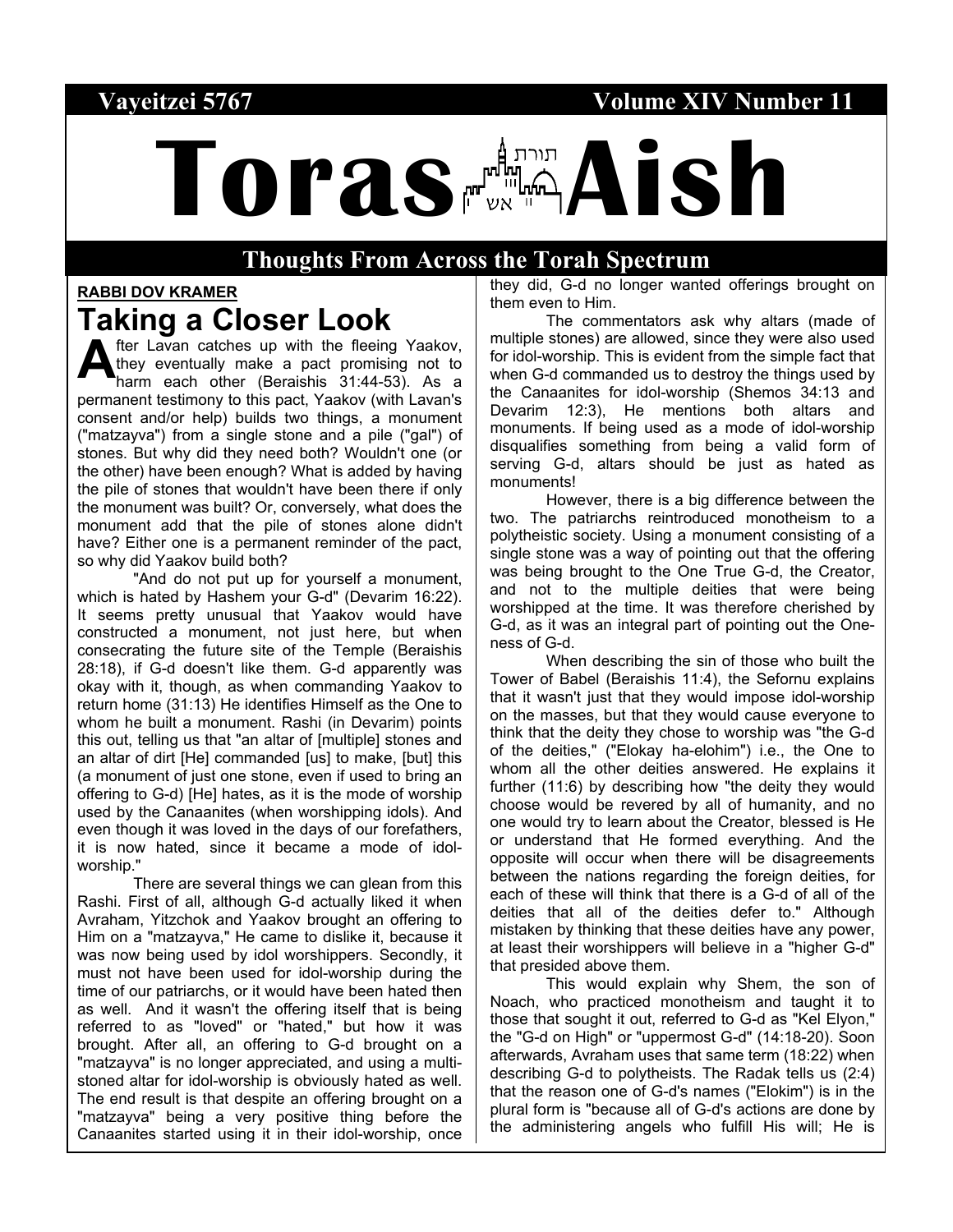#### Vayeitzei 5767 **Volume XIV Number 11**

# **Toras Aish**

#### **Thoughts From Across the Torah Spectrum**

#### **RABBI DOV KRAMER**

# **Taking a Closer Look**

fter Lavan catches up with the fleeing Yaakov, they eventually make a pact promising not to harm each other (Beraishis 31:44-53). As a permanent testimony to this pact, Yaakov (with Lavan's consent and/or help) builds two things, a monument ("matzayva") from a single stone and a pile ("gal") of stones. But why did they need both? Wouldn't one (or the other) have been enough? What is added by having the pile of stones that wouldn't have been there if only the monument was built? Or, conversely, what does the monument add that the pile of stones alone didn't have? Either one is a permanent reminder of the pact, so why did Yaakov build both? **A**

"And do not put up for yourself a monument, which is hated by Hashem your G-d" (Devarim 16:22). It seems pretty unusual that Yaakov would have constructed a monument, not just here, but when consecrating the future site of the Temple (Beraishis 28:18), if G-d doesn't like them. G-d apparently was okay with it, though, as when commanding Yaakov to return home (31:13) He identifies Himself as the One to whom he built a monument. Rashi (in Devarim) points this out, telling us that "an altar of [multiple] stones and an altar of dirt [He] commanded [us] to make, [but] this (a monument of just one stone, even if used to bring an offering to G-d) [He] hates, as it is the mode of worship used by the Canaanites (when worshipping idols). And even though it was loved in the days of our forefathers, it is now hated, since it became a mode of idolworship."

There are several things we can glean from this Rashi. First of all, although G-d actually liked it when Avraham, Yitzchok and Yaakov brought an offering to Him on a "matzayva," He came to dislike it, because it was now being used by idol worshippers. Secondly, it must not have been used for idol-worship during the time of our patriarchs, or it would have been hated then as well. And it wasn't the offering itself that is being referred to as "loved" or "hated," but how it was brought. After all, an offering to G-d brought on a "matzayva" is no longer appreciated, and using a multistoned altar for idol-worship is obviously hated as well. The end result is that despite an offering brought on a "matzayva" being a very positive thing before the Canaanites started using it in their idol-worship, once they did, G-d no longer wanted offerings brought on them even to Him.

The commentators ask why altars (made of multiple stones) are allowed, since they were also used for idol-worship. This is evident from the simple fact that when G-d commanded us to destroy the things used by the Canaanites for idol-worship (Shemos 34:13 and Devarim 12:3), He mentions both altars and monuments. If being used as a mode of idol-worship disqualifies something from being a valid form of serving G-d, altars should be just as hated as monuments!

However, there is a big difference between the two. The patriarchs reintroduced monotheism to a polytheistic society. Using a monument consisting of a single stone was a way of pointing out that the offering was being brought to the One True G-d, the Creator, and not to the multiple deities that were being worshipped at the time. It was therefore cherished by G-d, as it was an integral part of pointing out the Oneness of G-d.

When describing the sin of those who built the Tower of Babel (Beraishis 11:4), the Sefornu explains that it wasn't just that they would impose idol-worship on the masses, but that they would cause everyone to think that the deity they chose to worship was "the G-d of the deities," ("Elokay ha-elohim") i.e., the One to whom all the other deities answered. He explains it further (11:6) by describing how "the deity they would choose would be revered by all of humanity, and no one would try to learn about the Creator, blessed is He or understand that He formed everything. And the opposite will occur when there will be disagreements between the nations regarding the foreign deities, for each of these will think that there is a G-d of all of the deities that all of the deities defer to." Although mistaken by thinking that these deities have any power, at least their worshippers will believe in a "higher G-d" that presided above them.

This would explain why Shem, the son of Noach, who practiced monotheism and taught it to those that sought it out, referred to G-d as "Kel Elyon," the "G-d on High" or "uppermost G-d" (14:18-20). Soon afterwards, Avraham uses that same term (18:22) when describing G-d to polytheists. The Radak tells us (2:4) that the reason one of G-d's names ("Elokim") is in the plural form is "because all of G-d's actions are done by the administering angels who fulfill His will; He is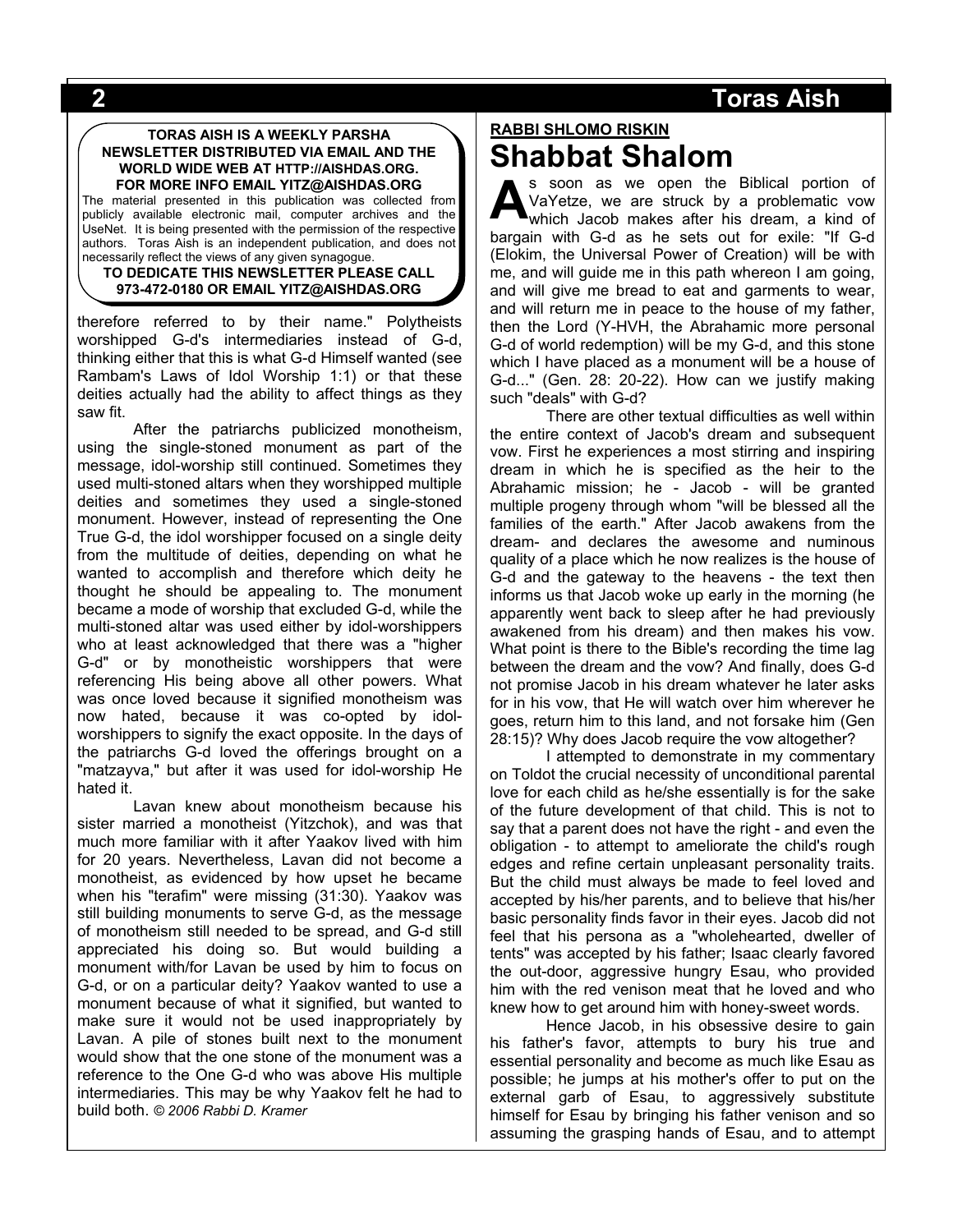#### **TORAS AISH IS A WEEKLY PARSHA NEWSLETTER DISTRIBUTED VIA EMAIL AND THE WORLD WIDE WEB AT HTTP://AISHDAS.ORG. FOR MORE INFO EMAIL YITZ@AISHDAS.ORG**

The material presented in this publication was collected from publicly available electronic mail, computer archives and the UseNet. It is being presented with the permission of the respective authors. Toras Aish is an independent publication, and does not necessarily reflect the views of any given synagogue.

#### **TO DEDICATE THIS NEWSLETTER PLEASE CALL 973-472-0180 OR EMAIL YITZ@AISHDAS.ORG**

therefore referred to by their name." Polytheists worshipped G-d's intermediaries instead of G-d, thinking either that this is what G-d Himself wanted (see Rambam's Laws of Idol Worship 1:1) or that these deities actually had the ability to affect things as they saw fit.

After the patriarchs publicized monotheism, using the single-stoned monument as part of the message, idol-worship still continued. Sometimes they used multi-stoned altars when they worshipped multiple deities and sometimes they used a single-stoned monument. However, instead of representing the One True G-d, the idol worshipper focused on a single deity from the multitude of deities, depending on what he wanted to accomplish and therefore which deity he thought he should be appealing to. The monument became a mode of worship that excluded G-d, while the multi-stoned altar was used either by idol-worshippers who at least acknowledged that there was a "higher G-d" or by monotheistic worshippers that were referencing His being above all other powers. What was once loved because it signified monotheism was now hated, because it was co-opted by idolworshippers to signify the exact opposite. In the days of the patriarchs G-d loved the offerings brought on a "matzayva," but after it was used for idol-worship He hated it.

Lavan knew about monotheism because his sister married a monotheist (Yitzchok), and was that much more familiar with it after Yaakov lived with him for 20 years. Nevertheless, Lavan did not become a monotheist, as evidenced by how upset he became when his "terafim" were missing (31:30). Yaakov was still building monuments to serve G-d, as the message of monotheism still needed to be spread, and G-d still appreciated his doing so. But would building a monument with/for Lavan be used by him to focus on G-d, or on a particular deity? Yaakov wanted to use a monument because of what it signified, but wanted to make sure it would not be used inappropriately by Lavan. A pile of stones built next to the monument would show that the one stone of the monument was a reference to the One G-d who was above His multiple intermediaries. This may be why Yaakov felt he had to build both. *© 2006 Rabbi D. Kramer*

# **RABBI SHLOMO RISKIN Shabbat Shalom**

s soon as we open the Biblical portion of VaYetze, we are struck by a problematic vow which Jacob makes after his dream, a kind of bargain with G-d as he sets out for exile: "If G-d (Elokim, the Universal Power of Creation) will be with me, and will guide me in this path whereon I am going, and will give me bread to eat and garments to wear, and will return me in peace to the house of my father, then the Lord (Y-HVH, the Abrahamic more personal G-d of world redemption) will be my G-d, and this stone which I have placed as a monument will be a house of G-d..." (Gen. 28: 20-22). How can we justify making such "deals" with G-d? **A**

There are other textual difficulties as well within the entire context of Jacob's dream and subsequent vow. First he experiences a most stirring and inspiring dream in which he is specified as the heir to the Abrahamic mission; he - Jacob - will be granted multiple progeny through whom "will be blessed all the families of the earth." After Jacob awakens from the dream- and declares the awesome and numinous quality of a place which he now realizes is the house of G-d and the gateway to the heavens - the text then informs us that Jacob woke up early in the morning (he apparently went back to sleep after he had previously awakened from his dream) and then makes his vow. What point is there to the Bible's recording the time lag between the dream and the vow? And finally, does G-d not promise Jacob in his dream whatever he later asks for in his vow, that He will watch over him wherever he goes, return him to this land, and not forsake him (Gen 28:15)? Why does Jacob require the vow altogether?

I attempted to demonstrate in my commentary on Toldot the crucial necessity of unconditional parental love for each child as he/she essentially is for the sake of the future development of that child. This is not to say that a parent does not have the right - and even the obligation - to attempt to ameliorate the child's rough edges and refine certain unpleasant personality traits. But the child must always be made to feel loved and accepted by his/her parents, and to believe that his/her basic personality finds favor in their eyes. Jacob did not feel that his persona as a "wholehearted, dweller of tents" was accepted by his father; Isaac clearly favored the out-door, aggressive hungry Esau, who provided him with the red venison meat that he loved and who knew how to get around him with honey-sweet words.

Hence Jacob, in his obsessive desire to gain his father's favor, attempts to bury his true and essential personality and become as much like Esau as possible; he jumps at his mother's offer to put on the external garb of Esau, to aggressively substitute himself for Esau by bringing his father venison and so assuming the grasping hands of Esau, and to attempt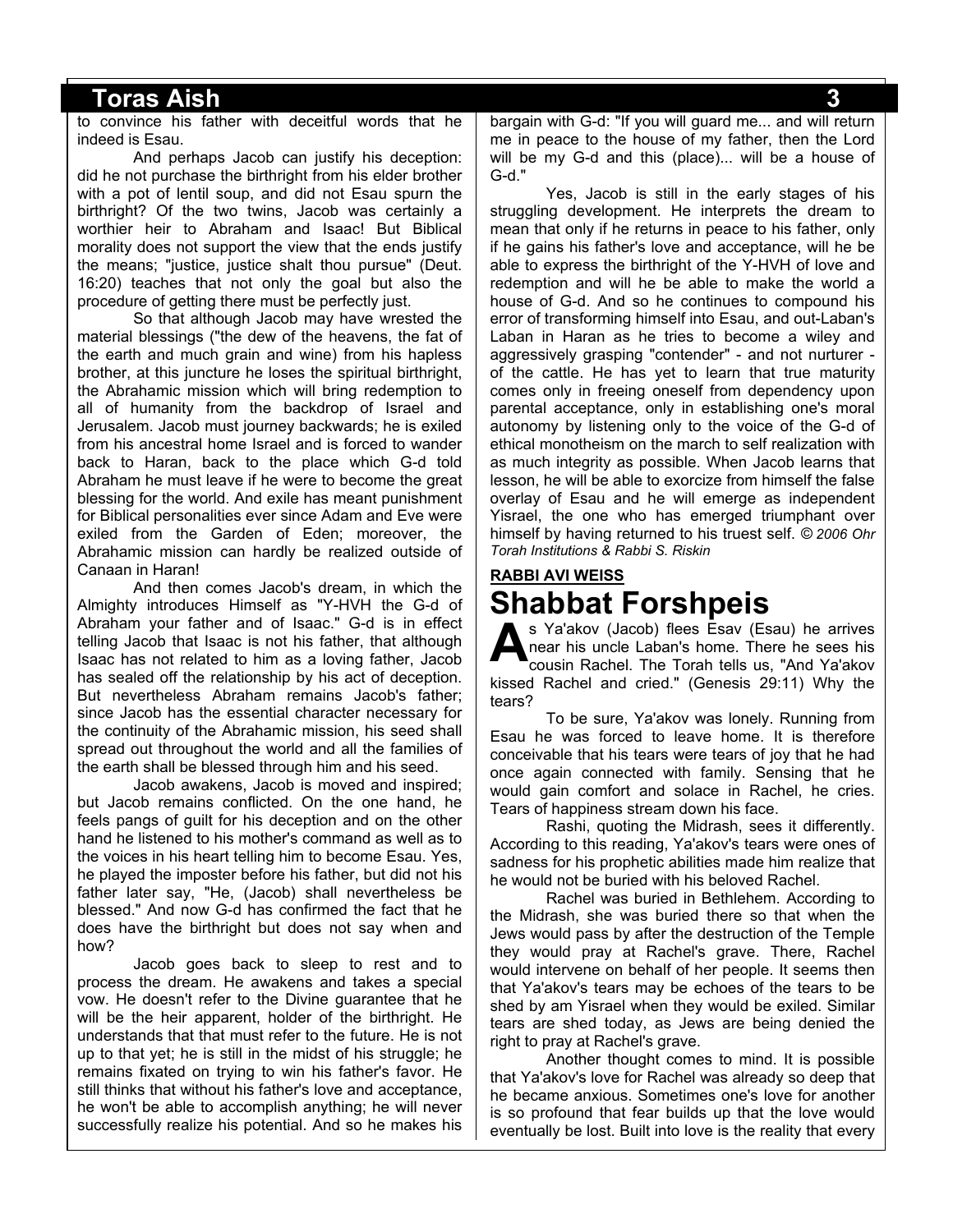to convince his father with deceitful words that he indeed is Esau.

And perhaps Jacob can justify his deception: did he not purchase the birthright from his elder brother with a pot of lentil soup, and did not Esau spurn the birthright? Of the two twins, Jacob was certainly a worthier heir to Abraham and Isaac! But Biblical morality does not support the view that the ends justify the means; "justice, justice shalt thou pursue" (Deut. 16:20) teaches that not only the goal but also the procedure of getting there must be perfectly just.

So that although Jacob may have wrested the material blessings ("the dew of the heavens, the fat of the earth and much grain and wine) from his hapless brother, at this juncture he loses the spiritual birthright, the Abrahamic mission which will bring redemption to all of humanity from the backdrop of Israel and Jerusalem. Jacob must journey backwards; he is exiled from his ancestral home Israel and is forced to wander back to Haran, back to the place which G-d told Abraham he must leave if he were to become the great blessing for the world. And exile has meant punishment for Biblical personalities ever since Adam and Eve were exiled from the Garden of Eden; moreover, the Abrahamic mission can hardly be realized outside of Canaan in Haran!

And then comes Jacob's dream, in which the Almighty introduces Himself as "Y-HVH the G-d of Abraham your father and of Isaac." G-d is in effect telling Jacob that Isaac is not his father, that although Isaac has not related to him as a loving father, Jacob has sealed off the relationship by his act of deception. But nevertheless Abraham remains Jacob's father; since Jacob has the essential character necessary for the continuity of the Abrahamic mission, his seed shall spread out throughout the world and all the families of the earth shall be blessed through him and his seed.

Jacob awakens, Jacob is moved and inspired; but Jacob remains conflicted. On the one hand, he feels pangs of guilt for his deception and on the other hand he listened to his mother's command as well as to the voices in his heart telling him to become Esau. Yes, he played the imposter before his father, but did not his father later say, "He, (Jacob) shall nevertheless be blessed." And now G-d has confirmed the fact that he does have the birthright but does not say when and how?

Jacob goes back to sleep to rest and to process the dream. He awakens and takes a special vow. He doesn't refer to the Divine guarantee that he will be the heir apparent, holder of the birthright. He understands that that must refer to the future. He is not up to that yet; he is still in the midst of his struggle; he remains fixated on trying to win his father's favor. He still thinks that without his father's love and acceptance, he won't be able to accomplish anything; he will never successfully realize his potential. And so he makes his

bargain with G-d: "If you will guard me... and will return me in peace to the house of my father, then the Lord will be my G-d and this (place)... will be a house of G-d."

Yes, Jacob is still in the early stages of his struggling development. He interprets the dream to mean that only if he returns in peace to his father, only if he gains his father's love and acceptance, will he be able to express the birthright of the Y-HVH of love and redemption and will he be able to make the world a house of G-d. And so he continues to compound his error of transforming himself into Esau, and out-Laban's Laban in Haran as he tries to become a wiley and aggressively grasping "contender" - and not nurturer of the cattle. He has yet to learn that true maturity comes only in freeing oneself from dependency upon parental acceptance, only in establishing one's moral autonomy by listening only to the voice of the G-d of ethical monotheism on the march to self realization with as much integrity as possible. When Jacob learns that lesson, he will be able to exorcize from himself the false overlay of Esau and he will emerge as independent Yisrael, the one who has emerged triumphant over himself by having returned to his truest self. *© 2006 Ohr Torah Institutions & Rabbi S. Riskin*

# **RABBI AVI WEISS Shabbat Forshpeis**

s Ya'akov (Jacob) flees Esav (Esau) he arrives near his uncle Laban's home. There he sees his cousin Rachel. The Torah tells us, "And Ya'akov kissed Rachel and cried." (Genesis 29:11) Why the tears? **A**

To be sure, Ya'akov was lonely. Running from Esau he was forced to leave home. It is therefore conceivable that his tears were tears of joy that he had once again connected with family. Sensing that he would gain comfort and solace in Rachel, he cries. Tears of happiness stream down his face.

Rashi, quoting the Midrash, sees it differently. According to this reading, Ya'akov's tears were ones of sadness for his prophetic abilities made him realize that he would not be buried with his beloved Rachel.

Rachel was buried in Bethlehem. According to the Midrash, she was buried there so that when the Jews would pass by after the destruction of the Temple they would pray at Rachel's grave. There, Rachel would intervene on behalf of her people. It seems then that Ya'akov's tears may be echoes of the tears to be shed by am Yisrael when they would be exiled. Similar tears are shed today, as Jews are being denied the right to pray at Rachel's grave.

Another thought comes to mind. It is possible that Ya'akov's love for Rachel was already so deep that he became anxious. Sometimes one's love for another is so profound that fear builds up that the love would eventually be lost. Built into love is the reality that every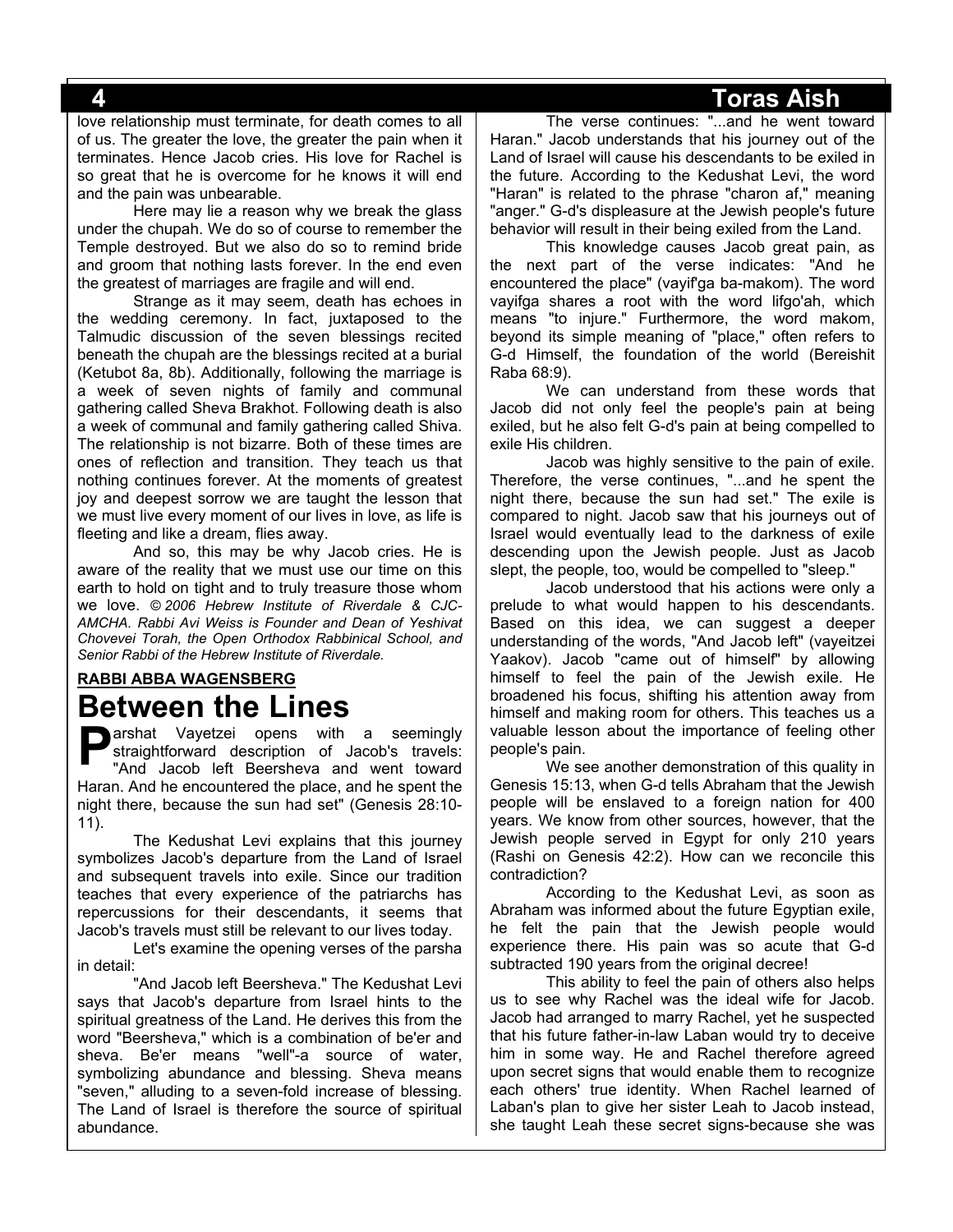love relationship must terminate, for death comes to all of us. The greater the love, the greater the pain when it terminates. Hence Jacob cries. His love for Rachel is so great that he is overcome for he knows it will end and the pain was unbearable.

Here may lie a reason why we break the glass under the chupah. We do so of course to remember the Temple destroyed. But we also do so to remind bride and groom that nothing lasts forever. In the end even the greatest of marriages are fragile and will end.

Strange as it may seem, death has echoes in the wedding ceremony. In fact, juxtaposed to the Talmudic discussion of the seven blessings recited beneath the chupah are the blessings recited at a burial (Ketubot 8a, 8b). Additionally, following the marriage is a week of seven nights of family and communal gathering called Sheva Brakhot. Following death is also a week of communal and family gathering called Shiva. The relationship is not bizarre. Both of these times are ones of reflection and transition. They teach us that nothing continues forever. At the moments of greatest joy and deepest sorrow we are taught the lesson that we must live every moment of our lives in love, as life is fleeting and like a dream, flies away.

And so, this may be why Jacob cries. He is aware of the reality that we must use our time on this earth to hold on tight and to truly treasure those whom we love. *© 2006 Hebrew Institute of Riverdale & CJC-AMCHA. Rabbi Avi Weiss is Founder and Dean of Yeshivat Chovevei Torah, the Open Orthodox Rabbinical School, and Senior Rabbi of the Hebrew Institute of Riverdale.*

# **RABBI ABBA WAGENSBERG Between the Lines**

**P** arshat Vayetzei opens with a seemingly straightforward description of Jacob's travels:<br>"And Jacob left Beersheva and went toward straightforward description of Jacob's travels: "And Jacob left Beersheva and went toward Haran. And he encountered the place, and he spent the night there, because the sun had set" (Genesis 28:10- 11).

The Kedushat Levi explains that this journey symbolizes Jacob's departure from the Land of Israel and subsequent travels into exile. Since our tradition teaches that every experience of the patriarchs has repercussions for their descendants, it seems that Jacob's travels must still be relevant to our lives today.

Let's examine the opening verses of the parsha in detail:

"And Jacob left Beersheva." The Kedushat Levi says that Jacob's departure from Israel hints to the spiritual greatness of the Land. He derives this from the word "Beersheva," which is a combination of be'er and sheva. Be'er means "well"-a source of water, symbolizing abundance and blessing. Sheva means "seven," alluding to a seven-fold increase of blessing. The Land of Israel is therefore the source of spiritual abundance.

The verse continues: "...and he went toward Haran." Jacob understands that his journey out of the Land of Israel will cause his descendants to be exiled in the future. According to the Kedushat Levi, the word "Haran" is related to the phrase "charon af," meaning "anger." G-d's displeasure at the Jewish people's future behavior will result in their being exiled from the Land.

This knowledge causes Jacob great pain, as the next part of the verse indicates: "And he encountered the place" (vayif'ga ba-makom). The word vayifga shares a root with the word lifgo'ah, which means "to injure." Furthermore, the word makom, beyond its simple meaning of "place," often refers to G-d Himself, the foundation of the world (Bereishit Raba 68:9).

We can understand from these words that Jacob did not only feel the people's pain at being exiled, but he also felt G-d's pain at being compelled to exile His children.

Jacob was highly sensitive to the pain of exile. Therefore, the verse continues, "...and he spent the night there, because the sun had set." The exile is compared to night. Jacob saw that his journeys out of Israel would eventually lead to the darkness of exile descending upon the Jewish people. Just as Jacob slept, the people, too, would be compelled to "sleep."

Jacob understood that his actions were only a prelude to what would happen to his descendants. Based on this idea, we can suggest a deeper understanding of the words, "And Jacob left" (vayeitzei Yaakov). Jacob "came out of himself" by allowing himself to feel the pain of the Jewish exile. He broadened his focus, shifting his attention away from himself and making room for others. This teaches us a valuable lesson about the importance of feeling other people's pain.

We see another demonstration of this quality in Genesis 15:13, when G-d tells Abraham that the Jewish people will be enslaved to a foreign nation for 400 years. We know from other sources, however, that the Jewish people served in Egypt for only 210 years (Rashi on Genesis 42:2). How can we reconcile this contradiction?

According to the Kedushat Levi, as soon as Abraham was informed about the future Egyptian exile, he felt the pain that the Jewish people would experience there. His pain was so acute that G-d subtracted 190 years from the original decree!

This ability to feel the pain of others also helps us to see why Rachel was the ideal wife for Jacob. Jacob had arranged to marry Rachel, yet he suspected that his future father-in-law Laban would try to deceive him in some way. He and Rachel therefore agreed upon secret signs that would enable them to recognize each others' true identity. When Rachel learned of Laban's plan to give her sister Leah to Jacob instead, she taught Leah these secret signs-because she was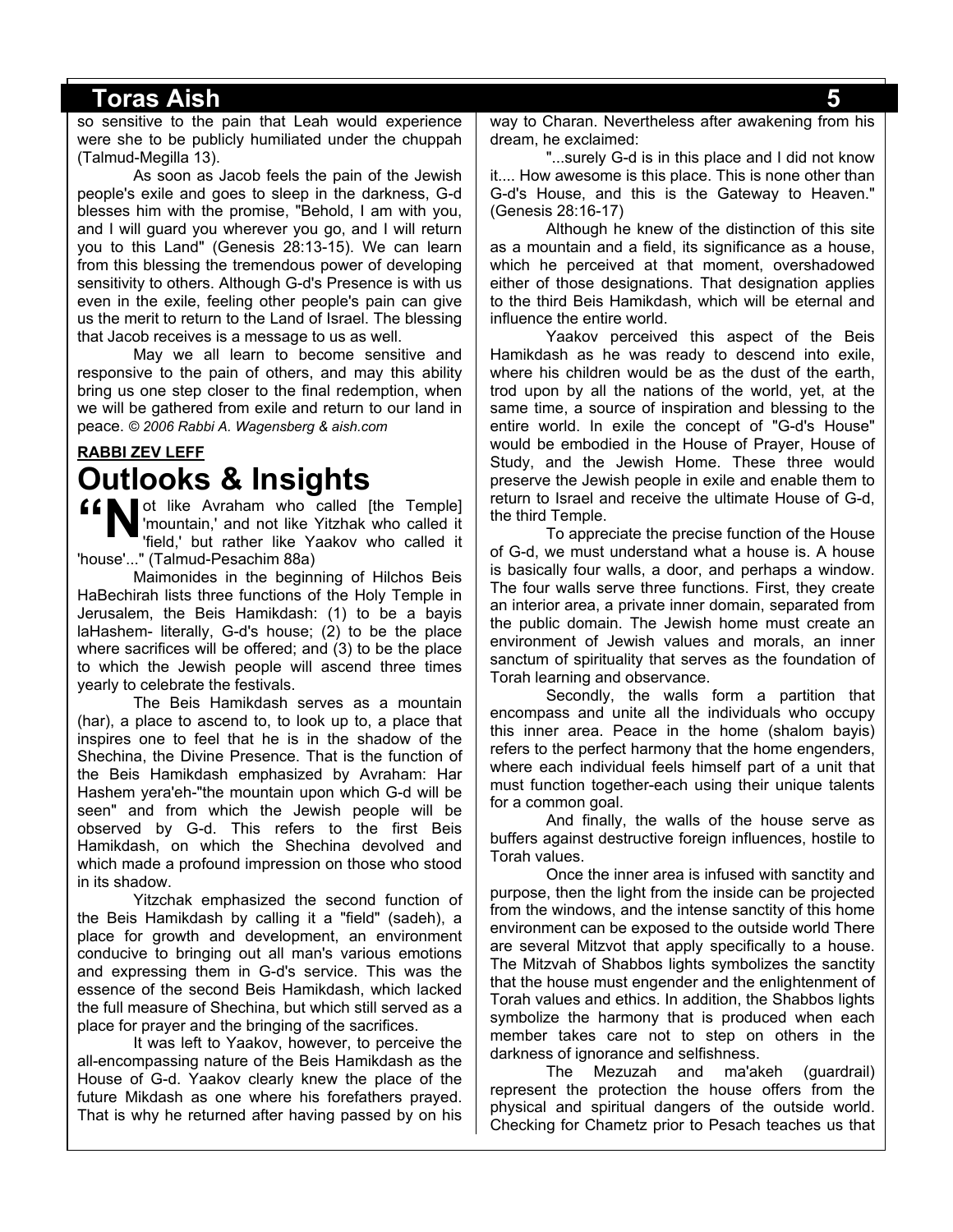so sensitive to the pain that Leah would experience were she to be publicly humiliated under the chuppah (Talmud-Megilla 13).

As soon as Jacob feels the pain of the Jewish people's exile and goes to sleep in the darkness, G-d blesses him with the promise, "Behold, I am with you, and I will guard you wherever you go, and I will return you to this Land" (Genesis 28:13-15). We can learn from this blessing the tremendous power of developing sensitivity to others. Although G-d's Presence is with us even in the exile, feeling other people's pain can give us the merit to return to the Land of Israel. The blessing that Jacob receives is a message to us as well.

May we all learn to become sensitive and responsive to the pain of others, and may this ability bring us one step closer to the final redemption, when we will be gathered from exile and return to our land in peace. *© 2006 Rabbi A. Wagensberg & aish.com*

### **RABBI ZEV LEFF Outlooks & Insights**

ot like Avraham who called [the Temple] 'mountain,' and not like Yitzhak who called it 'field,' but rather like Yaakov who called it 'house'..." (Talmud-Pesachim 88a) **"N**

Maimonides in the beginning of Hilchos Beis HaBechirah lists three functions of the Holy Temple in Jerusalem, the Beis Hamikdash: (1) to be a bayis laHashem- literally, G-d's house; (2) to be the place where sacrifices will be offered; and (3) to be the place to which the Jewish people will ascend three times yearly to celebrate the festivals.

The Beis Hamikdash serves as a mountain (har), a place to ascend to, to look up to, a place that inspires one to feel that he is in the shadow of the Shechina, the Divine Presence. That is the function of the Beis Hamikdash emphasized by Avraham: Har Hashem yera'eh-"the mountain upon which G-d will be seen" and from which the Jewish people will be observed by G-d. This refers to the first Beis Hamikdash, on which the Shechina devolved and which made a profound impression on those who stood in its shadow.

Yitzchak emphasized the second function of the Beis Hamikdash by calling it a "field" (sadeh), a place for growth and development, an environment conducive to bringing out all man's various emotions and expressing them in G-d's service. This was the essence of the second Beis Hamikdash, which lacked the full measure of Shechina, but which still served as a place for prayer and the bringing of the sacrifices.

It was left to Yaakov, however, to perceive the all-encompassing nature of the Beis Hamikdash as the House of G-d. Yaakov clearly knew the place of the future Mikdash as one where his forefathers prayed. That is why he returned after having passed by on his way to Charan. Nevertheless after awakening from his dream, he exclaimed:

"...surely G-d is in this place and I did not know it.... How awesome is this place. This is none other than G-d's House, and this is the Gateway to Heaven." (Genesis 28:16-17)

Although he knew of the distinction of this site as a mountain and a field, its significance as a house, which he perceived at that moment, overshadowed either of those designations. That designation applies to the third Beis Hamikdash, which will be eternal and influence the entire world.

Yaakov perceived this aspect of the Beis Hamikdash as he was ready to descend into exile, where his children would be as the dust of the earth, trod upon by all the nations of the world, yet, at the same time, a source of inspiration and blessing to the entire world. In exile the concept of "G-d's House" would be embodied in the House of Prayer, House of Study, and the Jewish Home. These three would preserve the Jewish people in exile and enable them to return to Israel and receive the ultimate House of G-d, the third Temple.

To appreciate the precise function of the House of G-d, we must understand what a house is. A house is basically four walls, a door, and perhaps a window. The four walls serve three functions. First, they create an interior area, a private inner domain, separated from the public domain. The Jewish home must create an environment of Jewish values and morals, an inner sanctum of spirituality that serves as the foundation of Torah learning and observance.

Secondly, the walls form a partition that encompass and unite all the individuals who occupy this inner area. Peace in the home (shalom bayis) refers to the perfect harmony that the home engenders, where each individual feels himself part of a unit that must function together-each using their unique talents for a common goal.

And finally, the walls of the house serve as buffers against destructive foreign influences, hostile to Torah values.

Once the inner area is infused with sanctity and purpose, then the light from the inside can be projected from the windows, and the intense sanctity of this home environment can be exposed to the outside world There are several Mitzvot that apply specifically to a house. The Mitzvah of Shabbos lights symbolizes the sanctity that the house must engender and the enlightenment of Torah values and ethics. In addition, the Shabbos lights symbolize the harmony that is produced when each member takes care not to step on others in the darkness of ignorance and selfishness.

The Mezuzah and ma'akeh (guardrail) represent the protection the house offers from the physical and spiritual dangers of the outside world. Checking for Chametz prior to Pesach teaches us that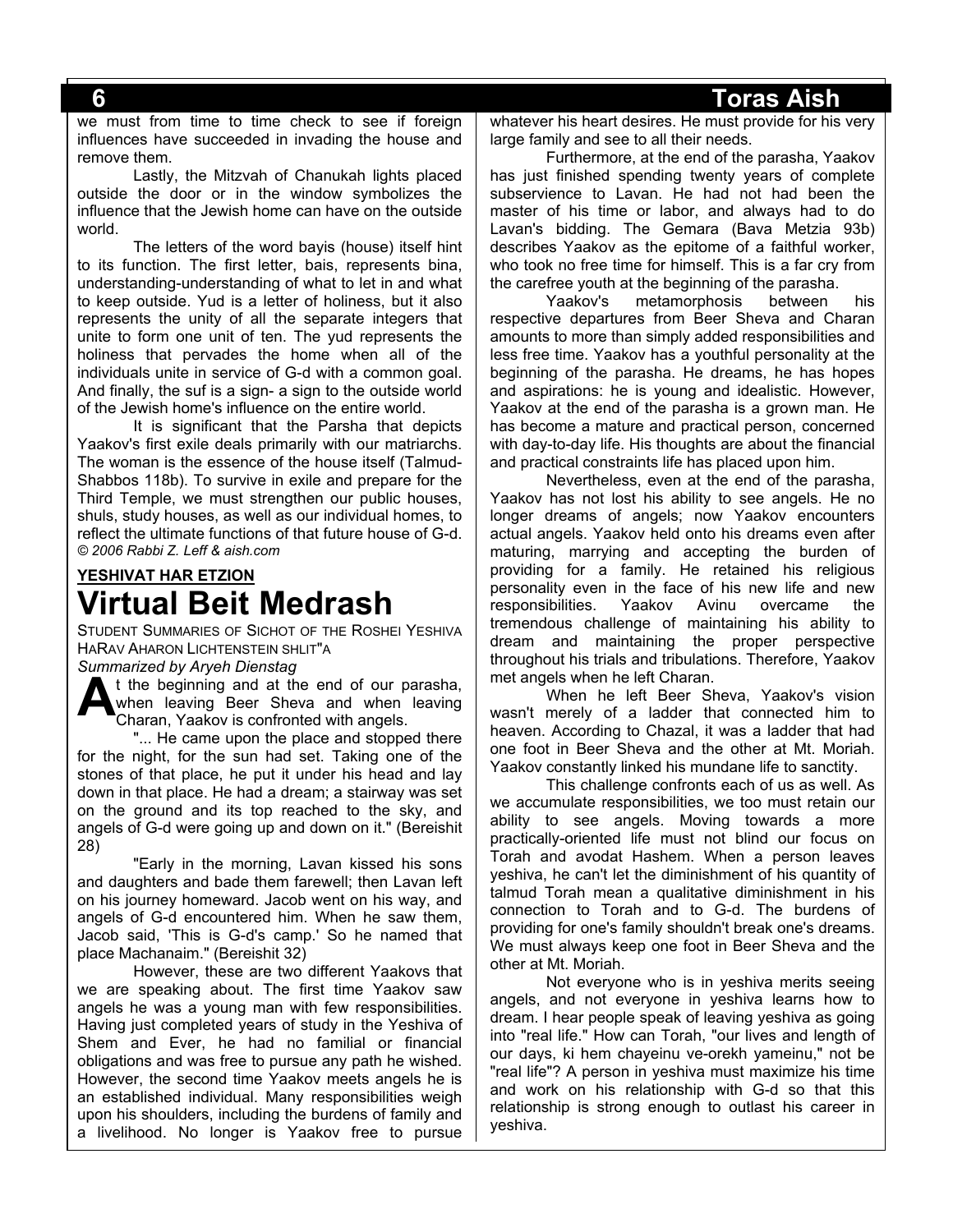we must from time to time check to see if foreign influences have succeeded in invading the house and remove them.

Lastly, the Mitzvah of Chanukah lights placed outside the door or in the window symbolizes the influence that the Jewish home can have on the outside world.

The letters of the word bayis (house) itself hint to its function. The first letter, bais, represents bina, understanding-understanding of what to let in and what to keep outside. Yud is a letter of holiness, but it also represents the unity of all the separate integers that unite to form one unit of ten. The yud represents the holiness that pervades the home when all of the individuals unite in service of G-d with a common goal. And finally, the suf is a sign- a sign to the outside world of the Jewish home's influence on the entire world.

It is significant that the Parsha that depicts Yaakov's first exile deals primarily with our matriarchs. The woman is the essence of the house itself (Talmud-Shabbos 118b). To survive in exile and prepare for the Third Temple, we must strengthen our public houses, shuls, study houses, as well as our individual homes, to reflect the ultimate functions of that future house of G-d. *© 2006 Rabbi Z. Leff & aish.com*

# **YESHIVAT HAR ETZION Virtual Beit Medrash**

STUDENT SUMMARIES OF SICHOT OF THE ROSHEI YESHIVA HARAV AHARON LICHTENSTEIN SHLIT"A

*Summarized by Aryeh Dienstag*

t the beginning and at the end of our parasha, when leaving Beer Sheva and when leaving Charan, Yaakov is confronted with angels. **A**

"... He came upon the place and stopped there for the night, for the sun had set. Taking one of the stones of that place, he put it under his head and lay down in that place. He had a dream; a stairway was set on the ground and its top reached to the sky, and angels of G-d were going up and down on it." (Bereishit 28)

"Early in the morning, Lavan kissed his sons and daughters and bade them farewell; then Lavan left on his journey homeward. Jacob went on his way, and angels of G-d encountered him. When he saw them, Jacob said, 'This is G-d's camp.' So he named that place Machanaim." (Bereishit 32)

However, these are two different Yaakovs that we are speaking about. The first time Yaakov saw angels he was a young man with few responsibilities. Having just completed years of study in the Yeshiva of Shem and Ever, he had no familial or financial obligations and was free to pursue any path he wished. However, the second time Yaakov meets angels he is an established individual. Many responsibilities weigh upon his shoulders, including the burdens of family and a livelihood. No longer is Yaakov free to pursue whatever his heart desires. He must provide for his very large family and see to all their needs.

Furthermore, at the end of the parasha, Yaakov has just finished spending twenty years of complete subservience to Lavan. He had not had been the master of his time or labor, and always had to do Lavan's bidding. The Gemara (Bava Metzia 93b) describes Yaakov as the epitome of a faithful worker, who took no free time for himself. This is a far cry from the carefree youth at the beginning of the parasha.

Yaakov's metamorphosis between his respective departures from Beer Sheva and Charan amounts to more than simply added responsibilities and less free time. Yaakov has a youthful personality at the beginning of the parasha. He dreams, he has hopes and aspirations: he is young and idealistic. However, Yaakov at the end of the parasha is a grown man. He has become a mature and practical person, concerned with day-to-day life. His thoughts are about the financial and practical constraints life has placed upon him.

Nevertheless, even at the end of the parasha, Yaakov has not lost his ability to see angels. He no longer dreams of angels; now Yaakov encounters actual angels. Yaakov held onto his dreams even after maturing, marrying and accepting the burden of providing for a family. He retained his religious personality even in the face of his new life and new responsibilities. Yaakov Avinu overcame the tremendous challenge of maintaining his ability to dream and maintaining the proper perspective throughout his trials and tribulations. Therefore, Yaakov met angels when he left Charan.

When he left Beer Sheva, Yaakov's vision wasn't merely of a ladder that connected him to heaven. According to Chazal, it was a ladder that had one foot in Beer Sheva and the other at Mt. Moriah. Yaakov constantly linked his mundane life to sanctity.

This challenge confronts each of us as well. As we accumulate responsibilities, we too must retain our ability to see angels. Moving towards a more practically-oriented life must not blind our focus on Torah and avodat Hashem. When a person leaves yeshiva, he can't let the diminishment of his quantity of talmud Torah mean a qualitative diminishment in his connection to Torah and to G-d. The burdens of providing for one's family shouldn't break one's dreams. We must always keep one foot in Beer Sheva and the other at Mt. Moriah.

Not everyone who is in yeshiva merits seeing angels, and not everyone in yeshiva learns how to dream. I hear people speak of leaving yeshiva as going into "real life." How can Torah, "our lives and length of our days, ki hem chayeinu ve-orekh yameinu," not be "real life"? A person in yeshiva must maximize his time and work on his relationship with G-d so that this relationship is strong enough to outlast his career in yeshiva.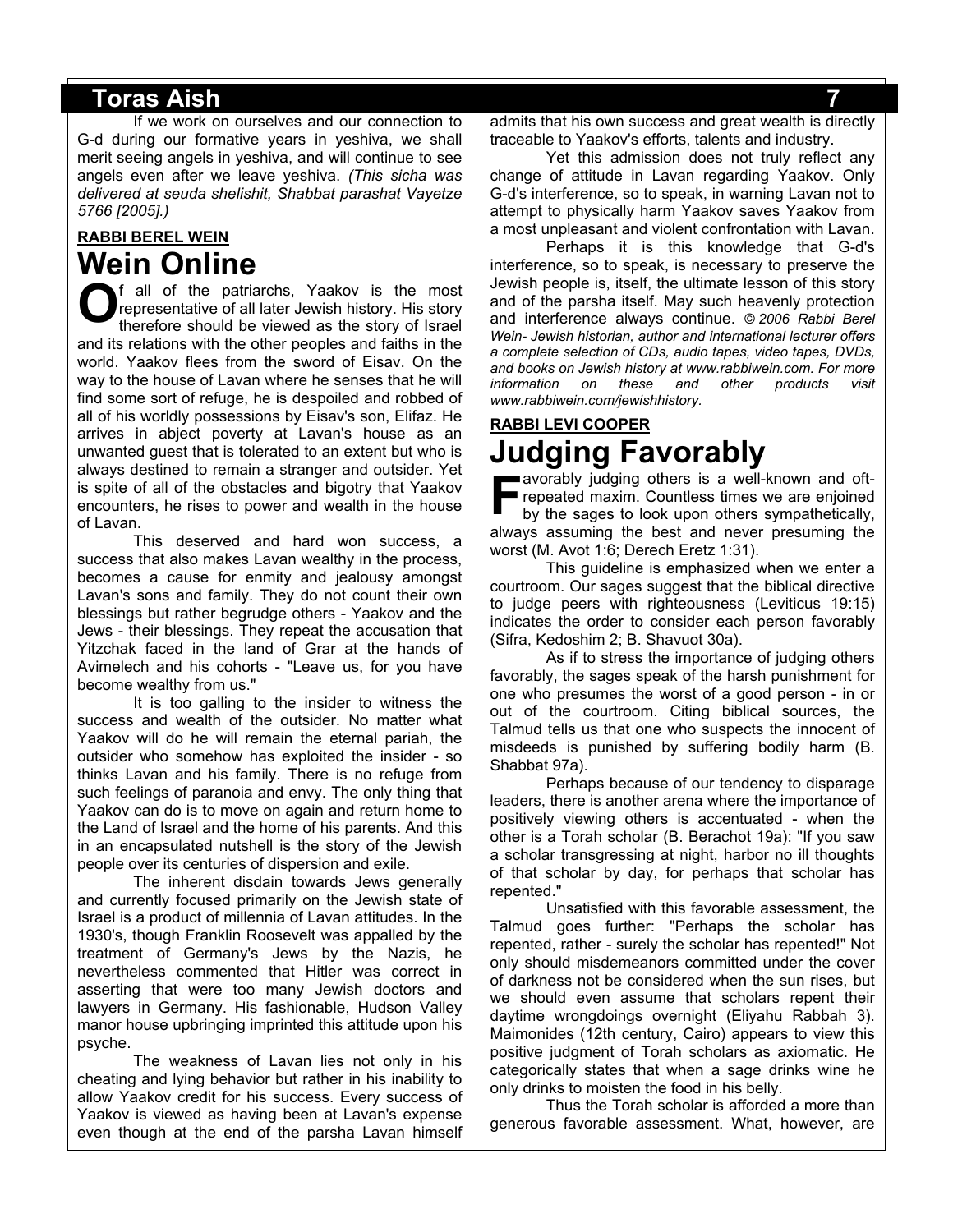If we work on ourselves and our connection to G-d during our formative years in yeshiva, we shall merit seeing angels in yeshiva, and will continue to see angels even after we leave yeshiva. *(This sicha was delivered at seuda shelishit, Shabbat parashat Vayetze 5766 [2005].)*

# **RABBI BEREL WEIN Wein Online**

f all of the patriarchs, Yaakov is the most representative of all later Jewish history. His story therefore should be viewed as the story of Israel and its relations with the other peoples and faiths in the world. Yaakov flees from the sword of Eisav. On the way to the house of Lavan where he senses that he will find some sort of refuge, he is despoiled and robbed of all of his worldly possessions by Eisav's son, Elifaz. He arrives in abject poverty at Lavan's house as an unwanted guest that is tolerated to an extent but who is always destined to remain a stranger and outsider. Yet is spite of all of the obstacles and bigotry that Yaakov encounters, he rises to power and wealth in the house of Lavan. **O**

This deserved and hard won success, a success that also makes Lavan wealthy in the process, becomes a cause for enmity and jealousy amongst Lavan's sons and family. They do not count their own blessings but rather begrudge others - Yaakov and the Jews - their blessings. They repeat the accusation that Yitzchak faced in the land of Grar at the hands of Avimelech and his cohorts - "Leave us, for you have become wealthy from us."

It is too galling to the insider to witness the success and wealth of the outsider. No matter what Yaakov will do he will remain the eternal pariah, the outsider who somehow has exploited the insider - so thinks Lavan and his family. There is no refuge from such feelings of paranoia and envy. The only thing that Yaakov can do is to move on again and return home to the Land of Israel and the home of his parents. And this in an encapsulated nutshell is the story of the Jewish people over its centuries of dispersion and exile.

The inherent disdain towards Jews generally and currently focused primarily on the Jewish state of Israel is a product of millennia of Lavan attitudes. In the 1930's, though Franklin Roosevelt was appalled by the treatment of Germany's Jews by the Nazis, he nevertheless commented that Hitler was correct in asserting that were too many Jewish doctors and lawyers in Germany. His fashionable, Hudson Valley manor house upbringing imprinted this attitude upon his psyche.

The weakness of Lavan lies not only in his cheating and lying behavior but rather in his inability to allow Yaakov credit for his success. Every success of Yaakov is viewed as having been at Lavan's expense even though at the end of the parsha Lavan himself admits that his own success and great wealth is directly traceable to Yaakov's efforts, talents and industry.

Yet this admission does not truly reflect any change of attitude in Lavan regarding Yaakov. Only G-d's interference, so to speak, in warning Lavan not to attempt to physically harm Yaakov saves Yaakov from a most unpleasant and violent confrontation with Lavan.

Perhaps it is this knowledge that G-d's interference, so to speak, is necessary to preserve the Jewish people is, itself, the ultimate lesson of this story and of the parsha itself. May such heavenly protection and interference always continue. *© 2006 Rabbi Berel Wein- Jewish historian, author and international lecturer offers a complete selection of CDs, audio tapes, video tapes, DVDs, and books on Jewish history at www.rabbiwein.com. For more information on these and other products visit www.rabbiwein.com/jewishhistory.*

# **RABBI LEVI COOPER Judging Favorably**

avorably judging others is a well-known and oftrepeated maxim. Countless times we are enjoined by the sages to look upon others sympathetically, always assuming the best and never presuming the worst (M. Avot 1:6; Derech Eretz 1:31). **F**

This guideline is emphasized when we enter a courtroom. Our sages suggest that the biblical directive to judge peers with righteousness (Leviticus 19:15) indicates the order to consider each person favorably (Sifra, Kedoshim 2; B. Shavuot 30a).

As if to stress the importance of judging others favorably, the sages speak of the harsh punishment for one who presumes the worst of a good person - in or out of the courtroom. Citing biblical sources, the Talmud tells us that one who suspects the innocent of misdeeds is punished by suffering bodily harm (B. Shabbat 97a).

Perhaps because of our tendency to disparage leaders, there is another arena where the importance of positively viewing others is accentuated - when the other is a Torah scholar (B. Berachot 19a): "If you saw a scholar transgressing at night, harbor no ill thoughts of that scholar by day, for perhaps that scholar has repented."

Unsatisfied with this favorable assessment, the Talmud goes further: "Perhaps the scholar has repented, rather - surely the scholar has repented!" Not only should misdemeanors committed under the cover of darkness not be considered when the sun rises, but we should even assume that scholars repent their daytime wrongdoings overnight (Eliyahu Rabbah 3). Maimonides (12th century, Cairo) appears to view this positive judgment of Torah scholars as axiomatic. He categorically states that when a sage drinks wine he only drinks to moisten the food in his belly.

Thus the Torah scholar is afforded a more than generous favorable assessment. What, however, are